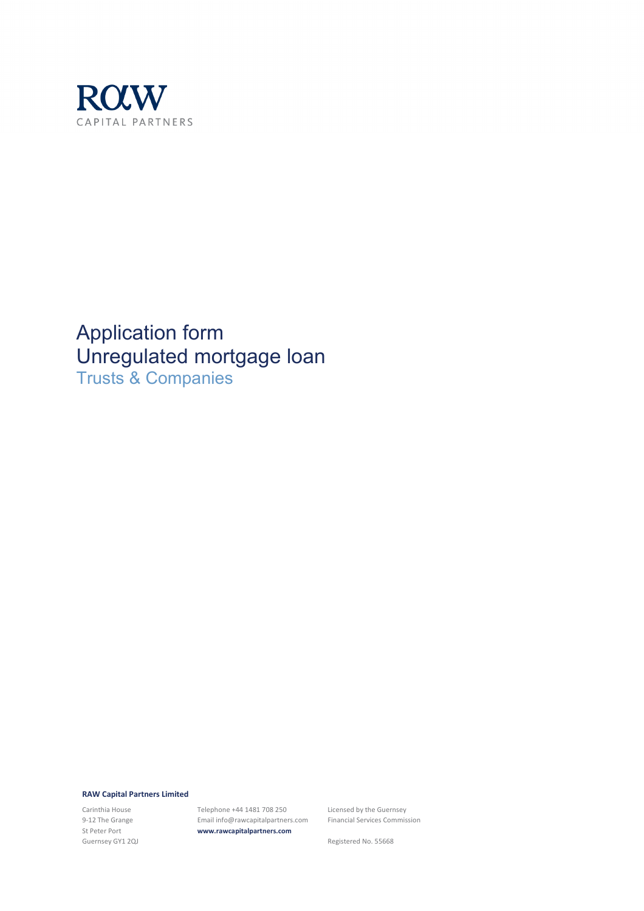

Application form Unregulated mortgage loan Trusts & Companies

#### **RAW Capital Partners Limited**

Carinthia House 9-12 The Grange St Peter Port Guernsey GY1 2QJ Telephone +44 1481 708 250 Email info@rawcapitalpartners.com **www.rawcapitalpartners.com**

Licensed by the Guernsey Financial Services Commission

Registered No. 55668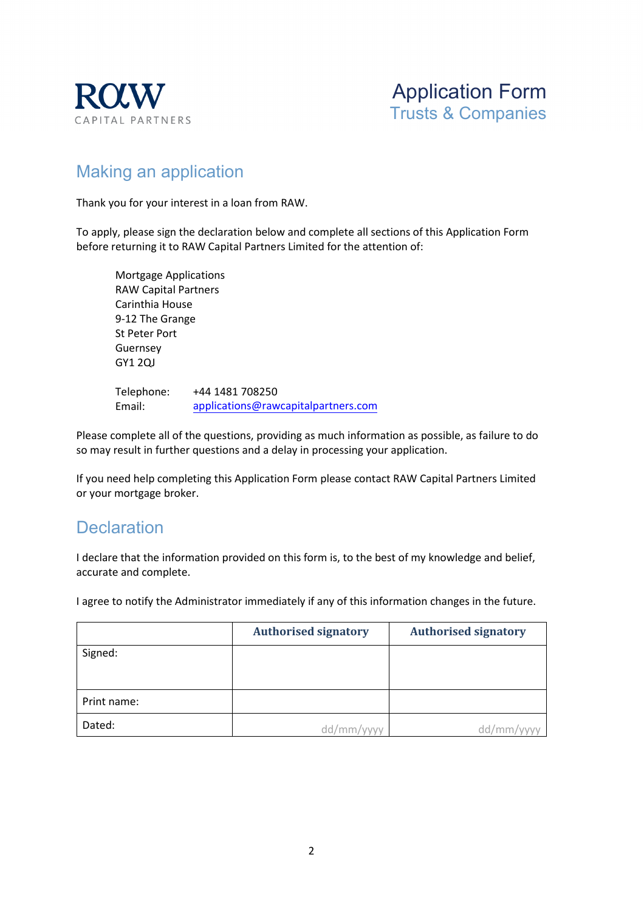



## Making an application

Thank you for your interest in a loan from RAW.

To apply, please sign the declaration below and complete all sections of this Application Form before returning it to RAW Capital Partners Limited for the attention of:

Mortgage Applications RAW Capital Partners Carinthia House 9-12 The Grange St Peter Port Guernsey GY1 2QJ

Telephone: Email: +44 1481 708250 applications[@rawcapitalpartners.com](mailto:mortgages@rawcapitalpartners.com)

Please complete all of the questions, providing as much information as possible, as failure to do so may result in further questions and a delay in processing your application.

If you need help completing this Application Form please contact RAW Capital Partners Limited or your mortgage broker.

### **Declaration**

I declare that the information provided on this form is, to the best of my knowledge and belief, accurate and complete.

I agree to notify the Administrator immediately if any of this information changes in the future.

|             | <b>Authorised signatory</b> | <b>Authorised signatory</b> |
|-------------|-----------------------------|-----------------------------|
| Signed:     |                             |                             |
|             |                             |                             |
| Print name: |                             |                             |
| Dated:      | dd/mm/yyyy                  | dd/mm                       |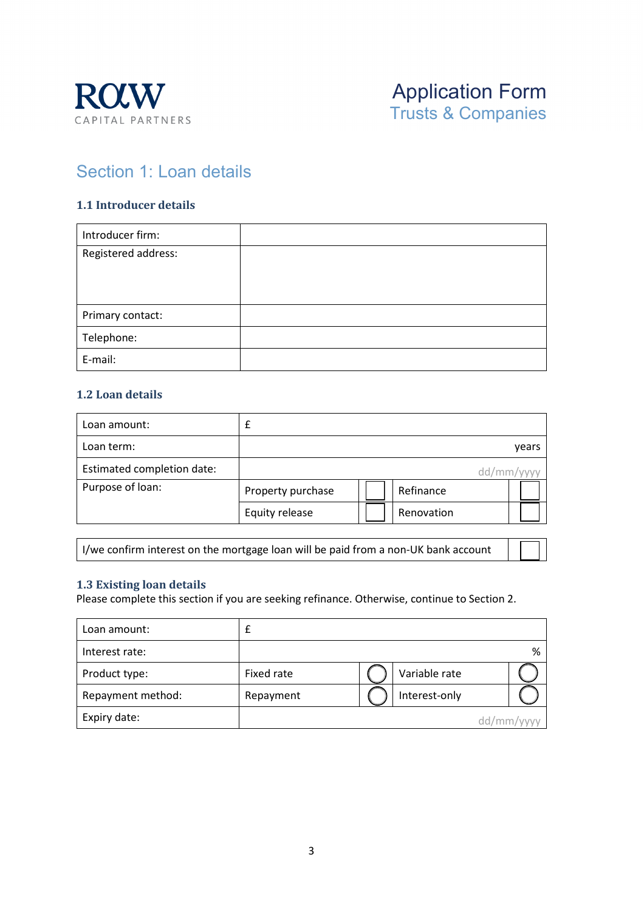

## Section 1: Loan details

#### **1.1 Introducer details**

| Introducer firm:    |  |
|---------------------|--|
| Registered address: |  |
|                     |  |
|                     |  |
| Primary contact:    |  |
| Telephone:          |  |
| E-mail:             |  |

#### **1.2 Loan details**

| Loan amount:               |                   |            |           |
|----------------------------|-------------------|------------|-----------|
| Loan term:                 |                   |            | years     |
| Estimated completion date: |                   |            | dd/mm/vvv |
| Purpose of loan:           | Property purchase | Refinance  |           |
|                            | Equity release    | Renovation |           |

I/we confirm interest on the mortgage loan will be paid from a non-UK bank account

#### **1.3 Existing loan details**

Please complete this section if you are seeking refinance. Otherwise, continue to Section 2.

| Loan amount:      |            |               |            |
|-------------------|------------|---------------|------------|
| Interest rate:    |            |               | %          |
| Product type:     | Fixed rate | Variable rate |            |
| Repayment method: | Repayment  | Interest-only |            |
| Expiry date:      |            |               | dd/mm/yyyy |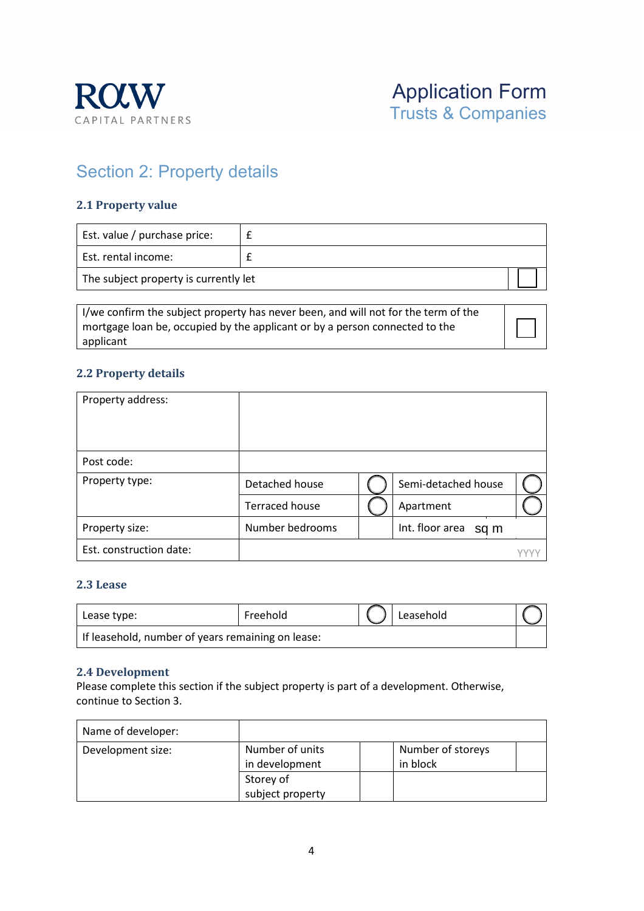

# Section 2: Property details

#### **2.1 Property value**

| Est. value / purchase price:          |  |  |
|---------------------------------------|--|--|
| Est. rental income:                   |  |  |
| The subject property is currently let |  |  |

I/we confirm the subject property has never been, and will not for the term of the mortgage loan be, occupied by the applicant or by a person connected to the applicant

### **2.2 Property details**

| Property address:       |                       |                         |  |
|-------------------------|-----------------------|-------------------------|--|
| Post code:              |                       |                         |  |
| Property type:          | Detached house        | Semi-detached house     |  |
|                         | <b>Terraced house</b> | Apartment               |  |
| Property size:          | Number bedrooms       | Int. floor area<br>sq m |  |
| Est. construction date: |                       |                         |  |

#### **2.3 Lease**

| Lease type:                                       | Freehold | Leasehold |  |
|---------------------------------------------------|----------|-----------|--|
| If leasehold, number of years remaining on lease: |          |           |  |

#### **2.4 Development**

Please complete this section if the subject property is part of a development. Otherwise, continue to Section 3.

| Name of developer: |                                   |                               |  |
|--------------------|-----------------------------------|-------------------------------|--|
| Development size:  | Number of units<br>in development | Number of storeys<br>in block |  |
|                    | Storey of                         |                               |  |
|                    | subject property                  |                               |  |